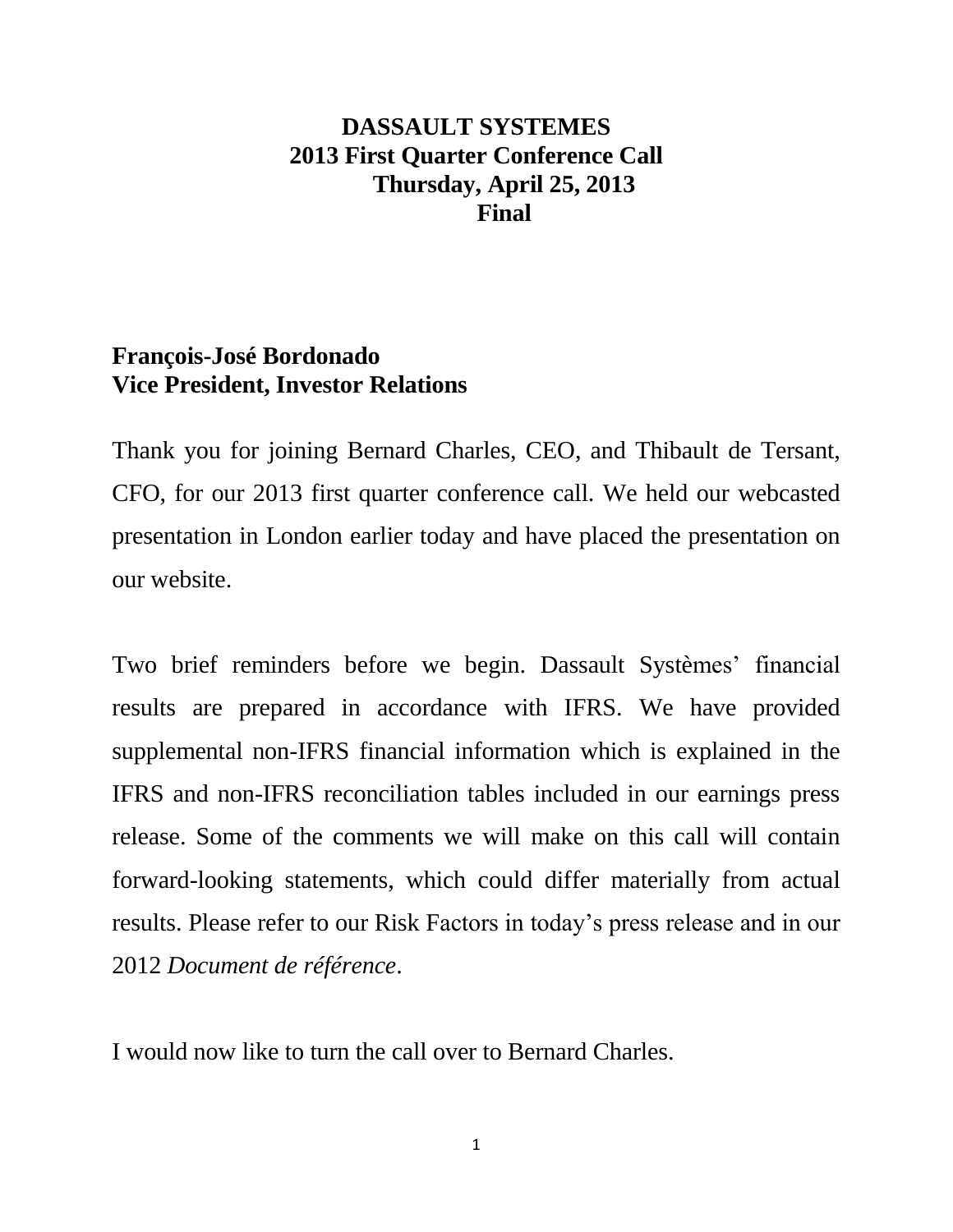# **DASSAULT SYSTEMES 2013 First Quarter Conference Call Thursday, April 25, 2013 Final**

## **François-José Bordonado Vice President, Investor Relations**

Thank you for joining Bernard Charles, CEO, and Thibault de Tersant, CFO, for our 2013 first quarter conference call. We held our webcasted presentation in London earlier today and have placed the presentation on our website.

Two brief reminders before we begin. Dassault Systèmes' financial results are prepared in accordance with IFRS. We have provided supplemental non-IFRS financial information which is explained in the IFRS and non-IFRS reconciliation tables included in our earnings press release. Some of the comments we will make on this call will contain forward-looking statements, which could differ materially from actual results. Please refer to our Risk Factors in today's press release and in our 2012 *Document de référence*.

I would now like to turn the call over to Bernard Charles.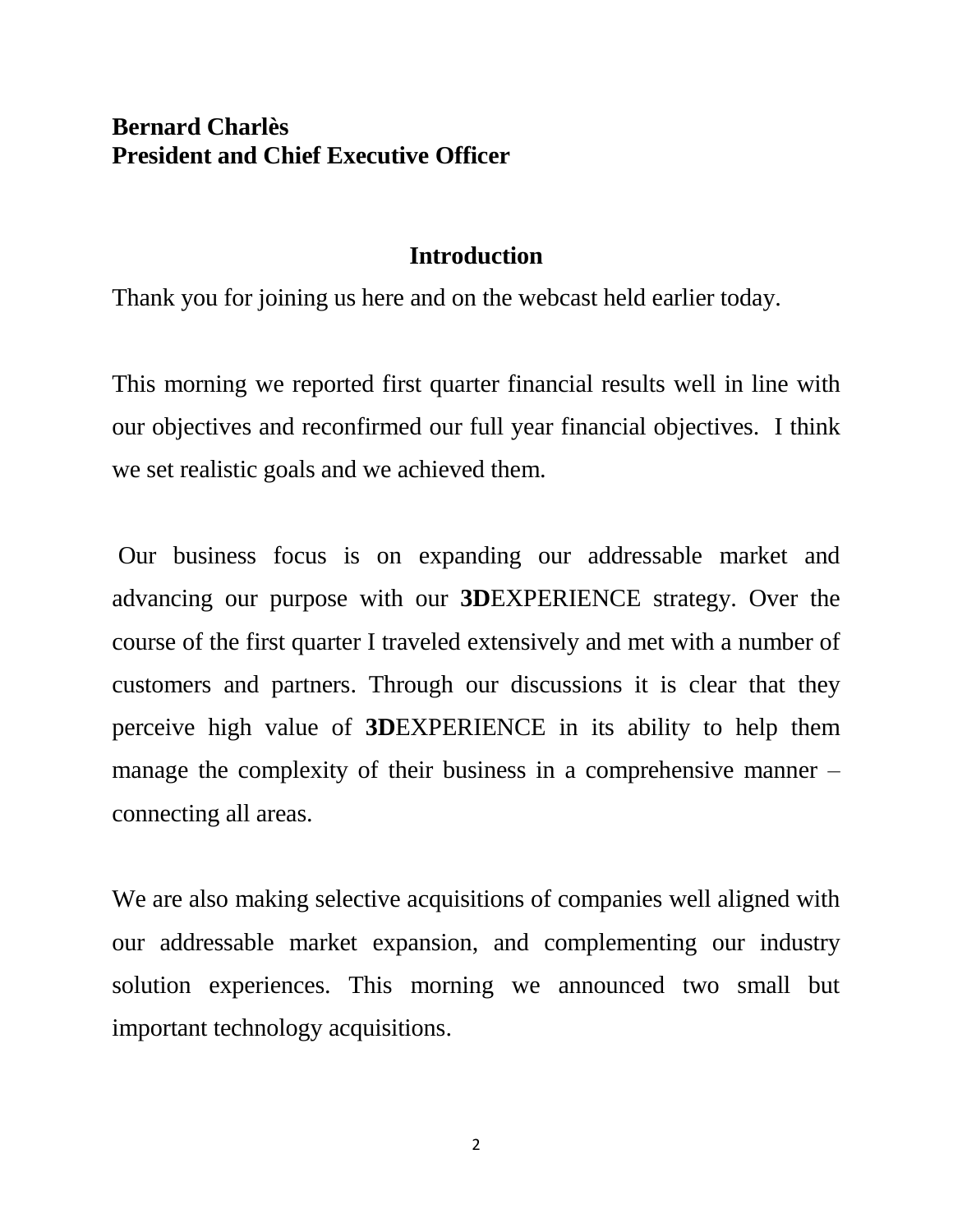## **Bernard Charlès President and Chief Executive Officer**

### **Introduction**

Thank you for joining us here and on the webcast held earlier today.

This morning we reported first quarter financial results well in line with our objectives and reconfirmed our full year financial objectives. I think we set realistic goals and we achieved them.

Our business focus is on expanding our addressable market and advancing our purpose with our **3D**EXPERIENCE strategy. Over the course of the first quarter I traveled extensively and met with a number of customers and partners. Through our discussions it is clear that they perceive high value of **3D**EXPERIENCE in its ability to help them manage the complexity of their business in a comprehensive manner – connecting all areas.

We are also making selective acquisitions of companies well aligned with our addressable market expansion, and complementing our industry solution experiences. This morning we announced two small but important technology acquisitions.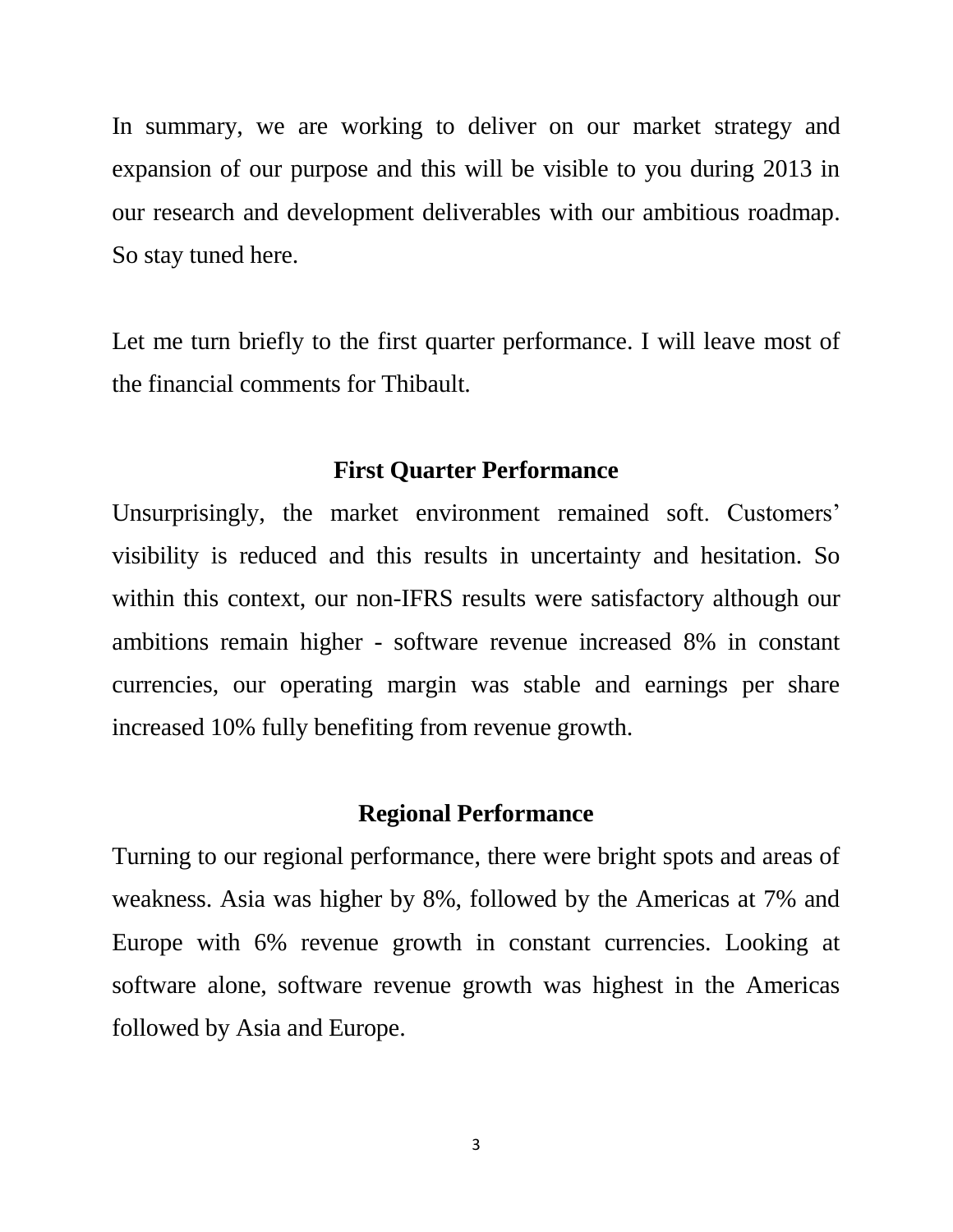In summary, we are working to deliver on our market strategy and expansion of our purpose and this will be visible to you during 2013 in our research and development deliverables with our ambitious roadmap. So stay tuned here.

Let me turn briefly to the first quarter performance. I will leave most of the financial comments for Thibault.

#### **First Quarter Performance**

Unsurprisingly, the market environment remained soft. Customers' visibility is reduced and this results in uncertainty and hesitation. So within this context, our non-IFRS results were satisfactory although our ambitions remain higher - software revenue increased 8% in constant currencies, our operating margin was stable and earnings per share increased 10% fully benefiting from revenue growth.

### **Regional Performance**

Turning to our regional performance, there were bright spots and areas of weakness. Asia was higher by 8%, followed by the Americas at 7% and Europe with 6% revenue growth in constant currencies. Looking at software alone, software revenue growth was highest in the Americas followed by Asia and Europe.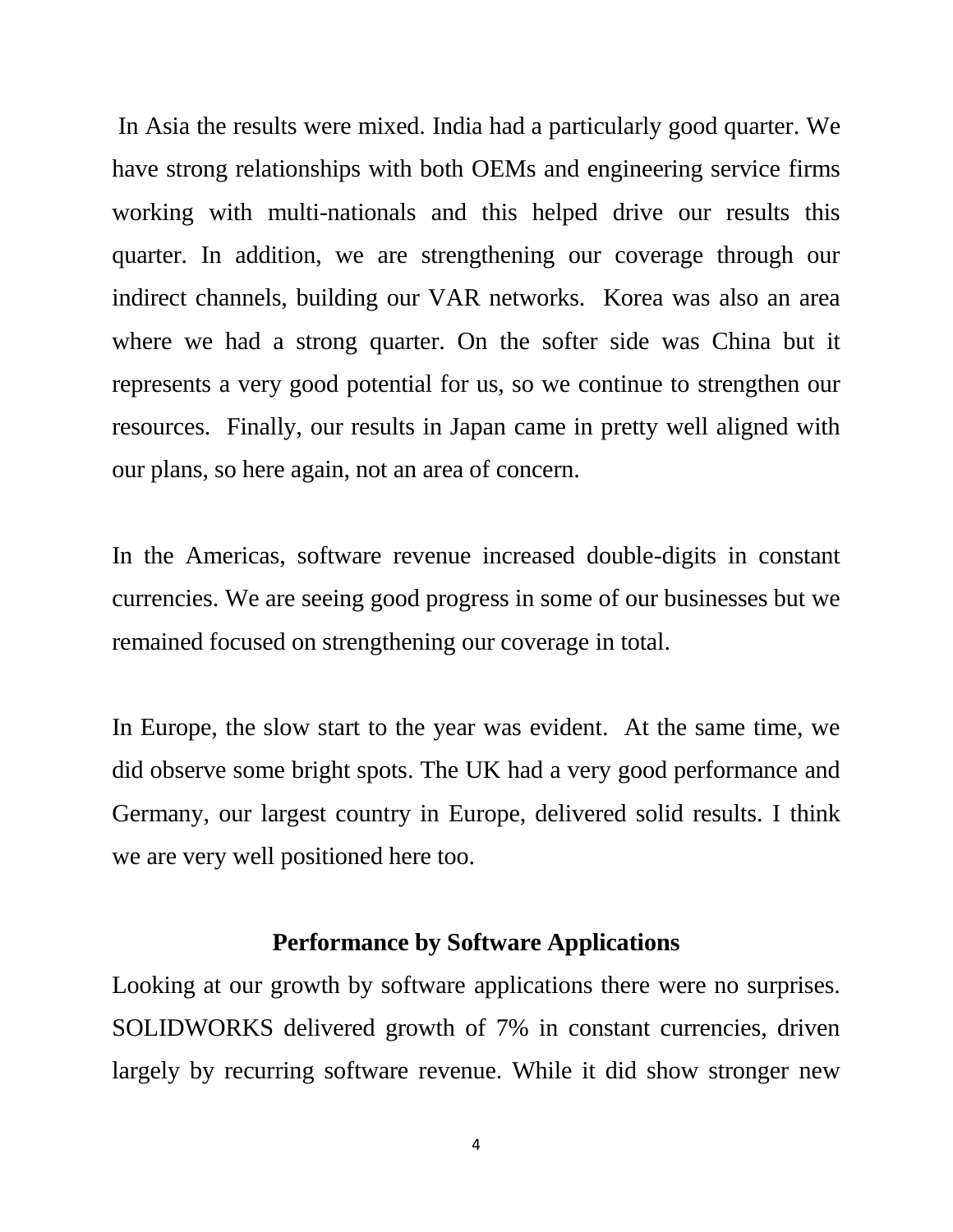In Asia the results were mixed. India had a particularly good quarter. We have strong relationships with both OEMs and engineering service firms working with multi-nationals and this helped drive our results this quarter. In addition, we are strengthening our coverage through our indirect channels, building our VAR networks. Korea was also an area where we had a strong quarter. On the softer side was China but it represents a very good potential for us, so we continue to strengthen our resources. Finally, our results in Japan came in pretty well aligned with our plans, so here again, not an area of concern.

In the Americas, software revenue increased double-digits in constant currencies. We are seeing good progress in some of our businesses but we remained focused on strengthening our coverage in total.

In Europe, the slow start to the year was evident. At the same time, we did observe some bright spots. The UK had a very good performance and Germany, our largest country in Europe, delivered solid results. I think we are very well positioned here too.

### **Performance by Software Applications**

Looking at our growth by software applications there were no surprises. SOLIDWORKS delivered growth of 7% in constant currencies, driven largely by recurring software revenue. While it did show stronger new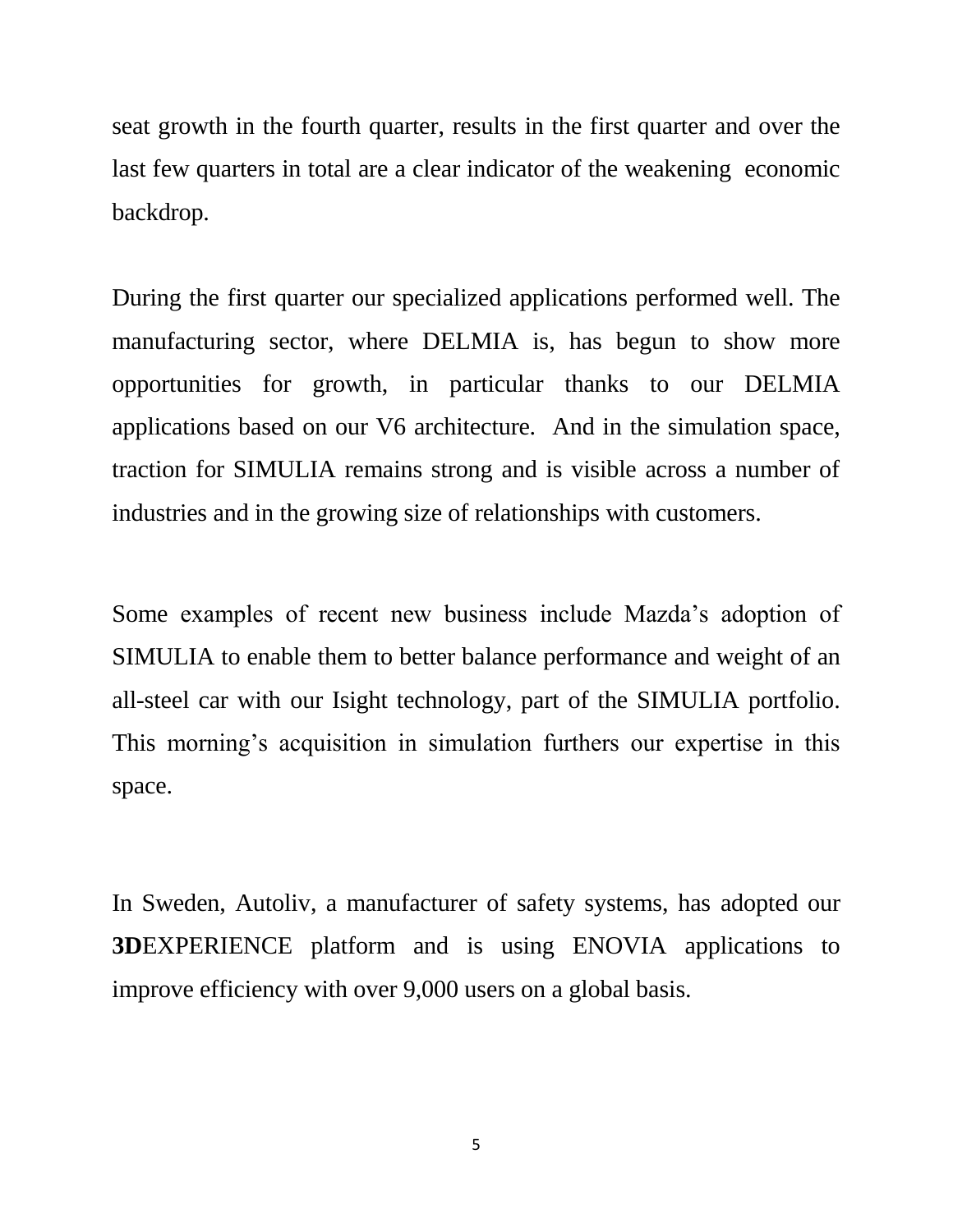seat growth in the fourth quarter, results in the first quarter and over the last few quarters in total are a clear indicator of the weakening economic backdrop.

During the first quarter our specialized applications performed well. The manufacturing sector, where DELMIA is, has begun to show more opportunities for growth, in particular thanks to our DELMIA applications based on our V6 architecture. And in the simulation space, traction for SIMULIA remains strong and is visible across a number of industries and in the growing size of relationships with customers.

Some examples of recent new business include Mazda's adoption of SIMULIA to enable them to better balance performance and weight of an all-steel car with our Isight technology, part of the SIMULIA portfolio. This morning's acquisition in simulation furthers our expertise in this space.

In Sweden, Autoliv, a manufacturer of safety systems, has adopted our **3D**EXPERIENCE platform and is using ENOVIA applications to improve efficiency with over 9,000 users on a global basis.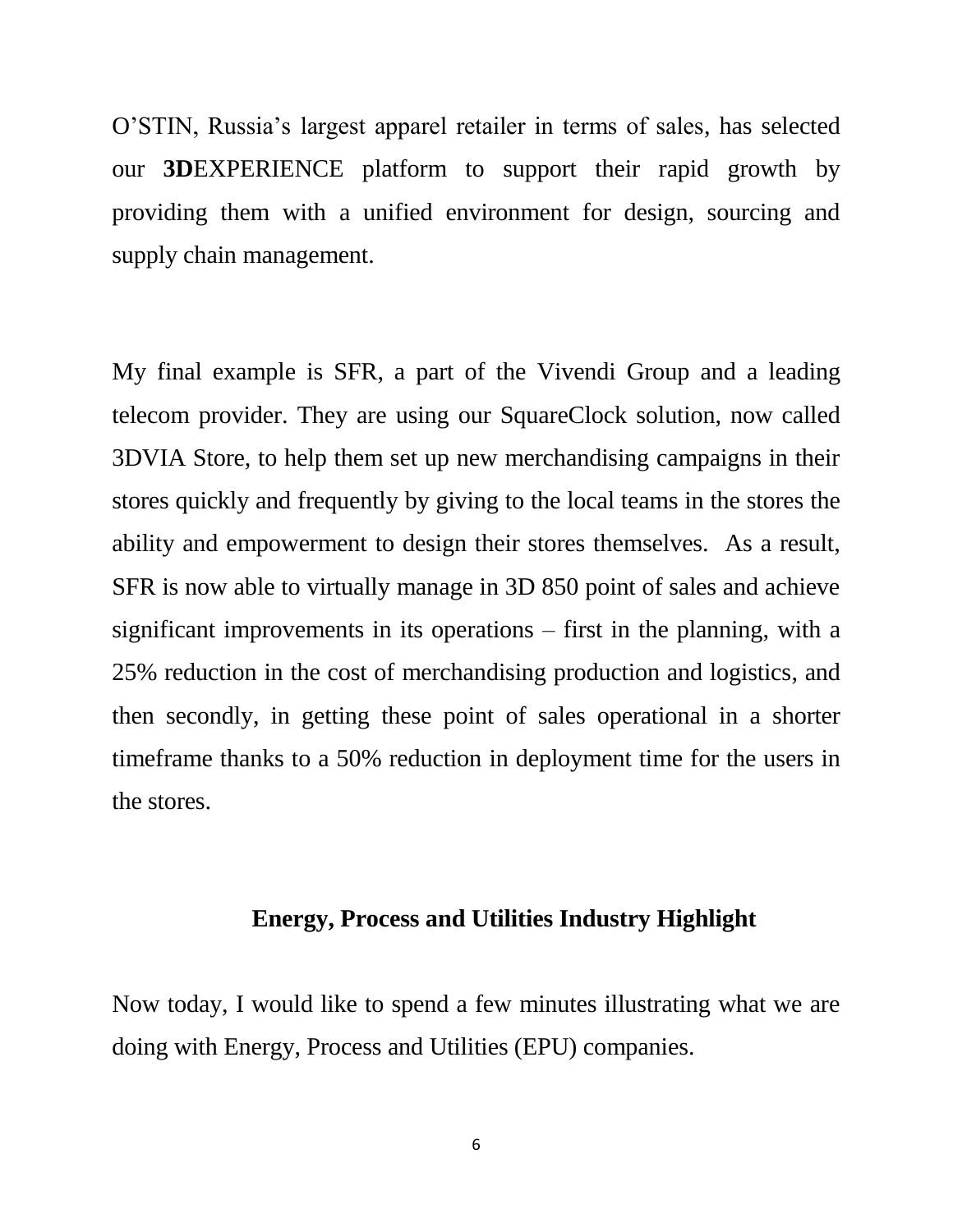O'STIN, Russia's largest apparel retailer in terms of sales, has selected our **3D**EXPERIENCE platform to support their rapid growth by providing them with a unified environment for design, sourcing and supply chain management.

My final example is SFR, a part of the Vivendi Group and a leading telecom provider. They are using our SquareClock solution, now called 3DVIA Store, to help them set up new merchandising campaigns in their stores quickly and frequently by giving to the local teams in the stores the ability and empowerment to design their stores themselves. As a result, SFR is now able to virtually manage in 3D 850 point of sales and achieve significant improvements in its operations – first in the planning, with a 25% reduction in the cost of merchandising production and logistics, and then secondly, in getting these point of sales operational in a shorter timeframe thanks to a 50% reduction in deployment time for the users in the stores.

### **Energy, Process and Utilities Industry Highlight**

Now today, I would like to spend a few minutes illustrating what we are doing with Energy, Process and Utilities (EPU) companies.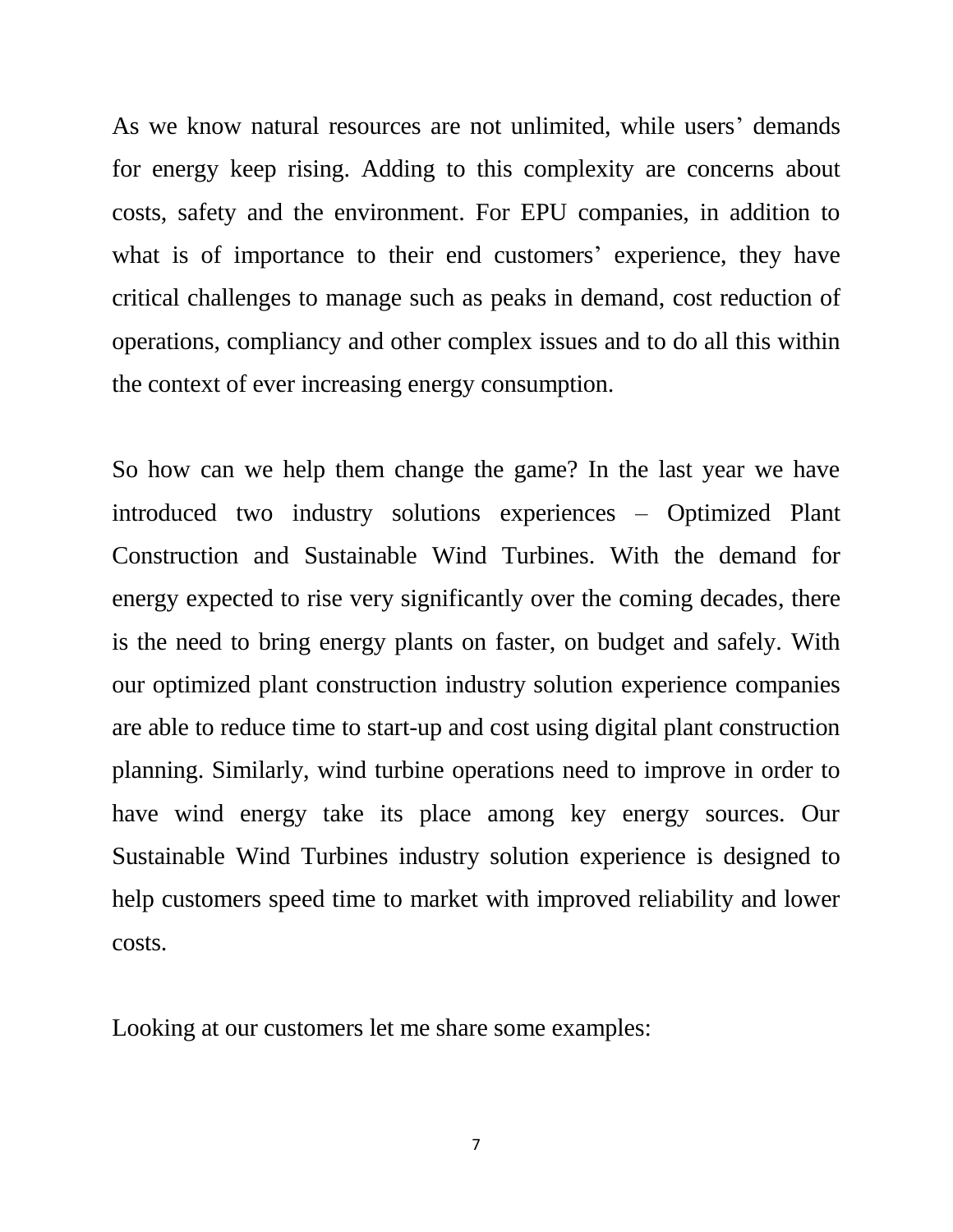As we know natural resources are not unlimited, while users' demands for energy keep rising. Adding to this complexity are concerns about costs, safety and the environment. For EPU companies, in addition to what is of importance to their end customers' experience, they have critical challenges to manage such as peaks in demand, cost reduction of operations, compliancy and other complex issues and to do all this within the context of ever increasing energy consumption.

So how can we help them change the game? In the last year we have introduced two industry solutions experiences – Optimized Plant Construction and Sustainable Wind Turbines. With the demand for energy expected to rise very significantly over the coming decades, there is the need to bring energy plants on faster, on budget and safely. With our optimized plant construction industry solution experience companies are able to reduce time to start-up and cost using digital plant construction planning. Similarly, wind turbine operations need to improve in order to have wind energy take its place among key energy sources. Our Sustainable Wind Turbines industry solution experience is designed to help customers speed time to market with improved reliability and lower costs.

Looking at our customers let me share some examples: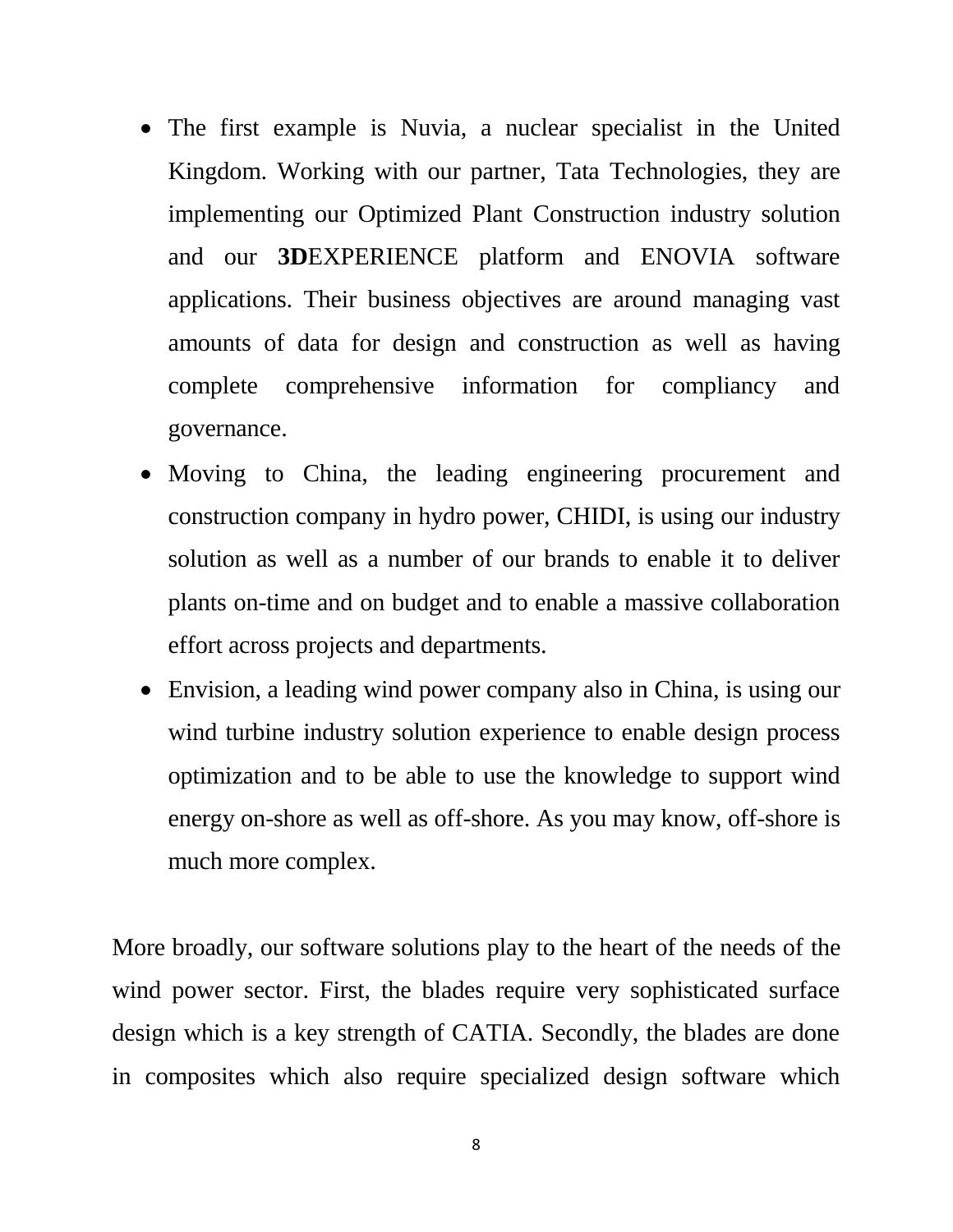- The first example is Nuvia, a nuclear specialist in the United Kingdom. Working with our partner, Tata Technologies, they are implementing our Optimized Plant Construction industry solution and our **3D**EXPERIENCE platform and ENOVIA software applications. Their business objectives are around managing vast amounts of data for design and construction as well as having complete comprehensive information for compliancy and governance.
- Moving to China, the leading engineering procurement and construction company in hydro power, CHIDI, is using our industry solution as well as a number of our brands to enable it to deliver plants on-time and on budget and to enable a massive collaboration effort across projects and departments.
- Envision, a leading wind power company also in China, is using our wind turbine industry solution experience to enable design process optimization and to be able to use the knowledge to support wind energy on-shore as well as off-shore. As you may know, off-shore is much more complex.

More broadly, our software solutions play to the heart of the needs of the wind power sector. First, the blades require very sophisticated surface design which is a key strength of CATIA. Secondly, the blades are done in composites which also require specialized design software which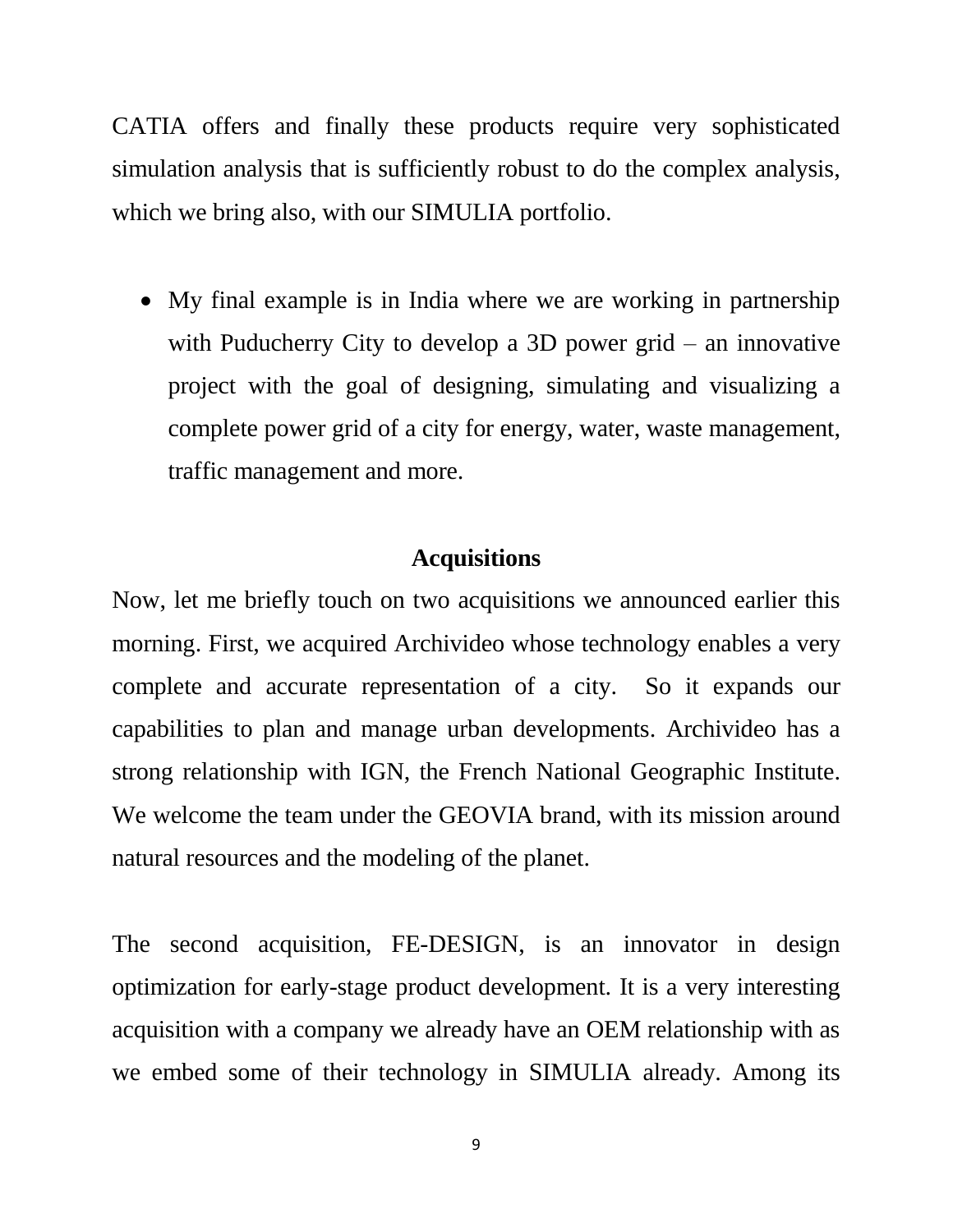CATIA offers and finally these products require very sophisticated simulation analysis that is sufficiently robust to do the complex analysis, which we bring also, with our SIMULIA portfolio.

 My final example is in India where we are working in partnership with Puducherry City to develop a 3D power grid – an innovative project with the goal of designing, simulating and visualizing a complete power grid of a city for energy, water, waste management, traffic management and more.

### **Acquisitions**

Now, let me briefly touch on two acquisitions we announced earlier this morning. First, we acquired Archivideo whose technology enables a very complete and accurate representation of a city. So it expands our capabilities to plan and manage urban developments. Archivideo has a strong relationship with IGN, the French National Geographic Institute. We welcome the team under the GEOVIA brand, with its mission around natural resources and the modeling of the planet.

The second acquisition, FE-DESIGN, is an innovator in design optimization for early-stage product development. It is a very interesting acquisition with a company we already have an OEM relationship with as we embed some of their technology in SIMULIA already. Among its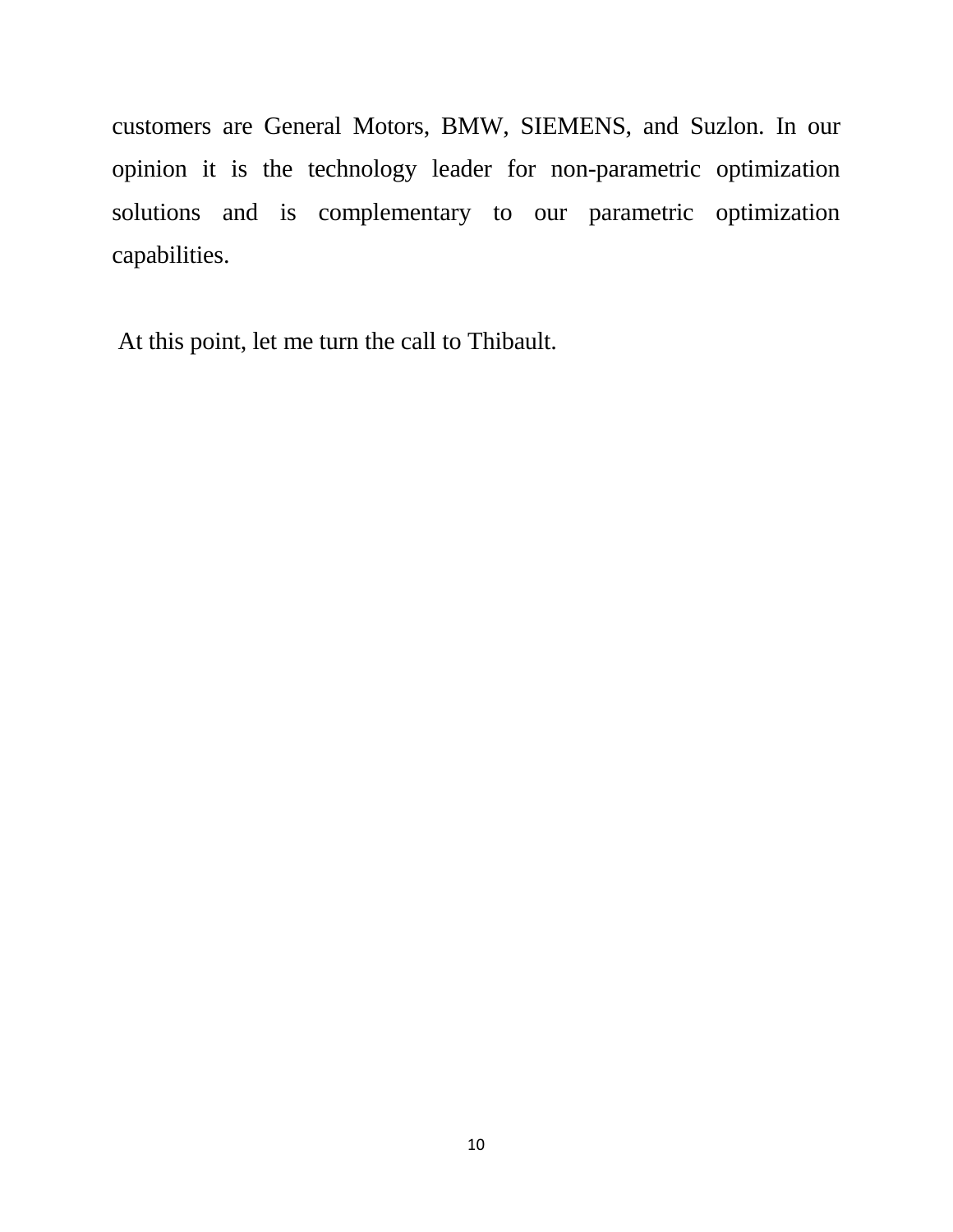customers are General Motors, BMW, SIEMENS, and Suzlon. In our opinion it is the technology leader for non-parametric optimization solutions and is complementary to our parametric optimization capabilities.

At this point, let me turn the call to Thibault.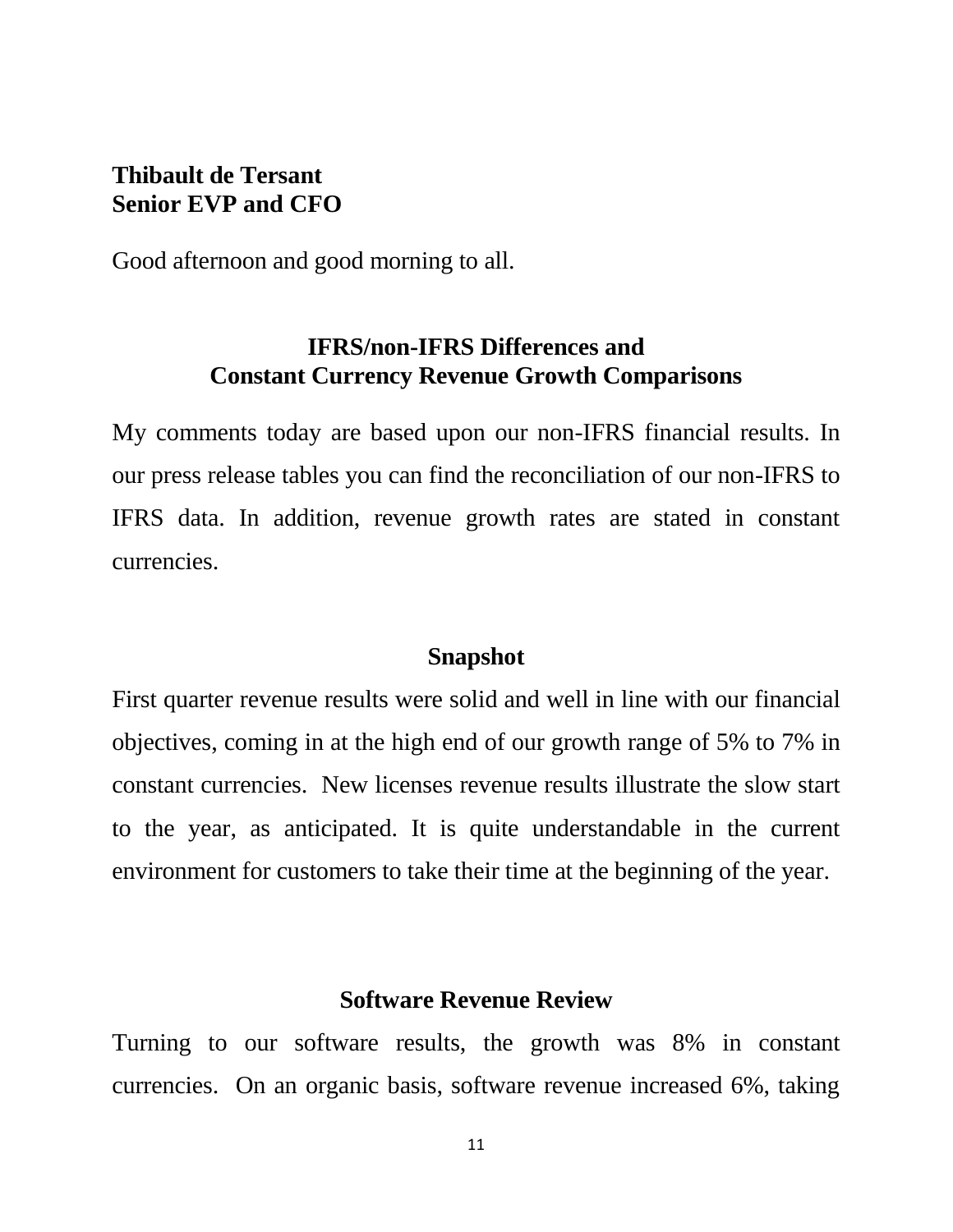## **Thibault de Tersant Senior EVP and CFO**

Good afternoon and good morning to all.

### **IFRS/non-IFRS Differences and Constant Currency Revenue Growth Comparisons**

My comments today are based upon our non-IFRS financial results. In our press release tables you can find the reconciliation of our non-IFRS to IFRS data. In addition, revenue growth rates are stated in constant currencies.

#### **Snapshot**

First quarter revenue results were solid and well in line with our financial objectives, coming in at the high end of our growth range of 5% to 7% in constant currencies. New licenses revenue results illustrate the slow start to the year, as anticipated. It is quite understandable in the current environment for customers to take their time at the beginning of the year.

### **Software Revenue Review**

Turning to our software results, the growth was 8% in constant currencies. On an organic basis, software revenue increased 6%, taking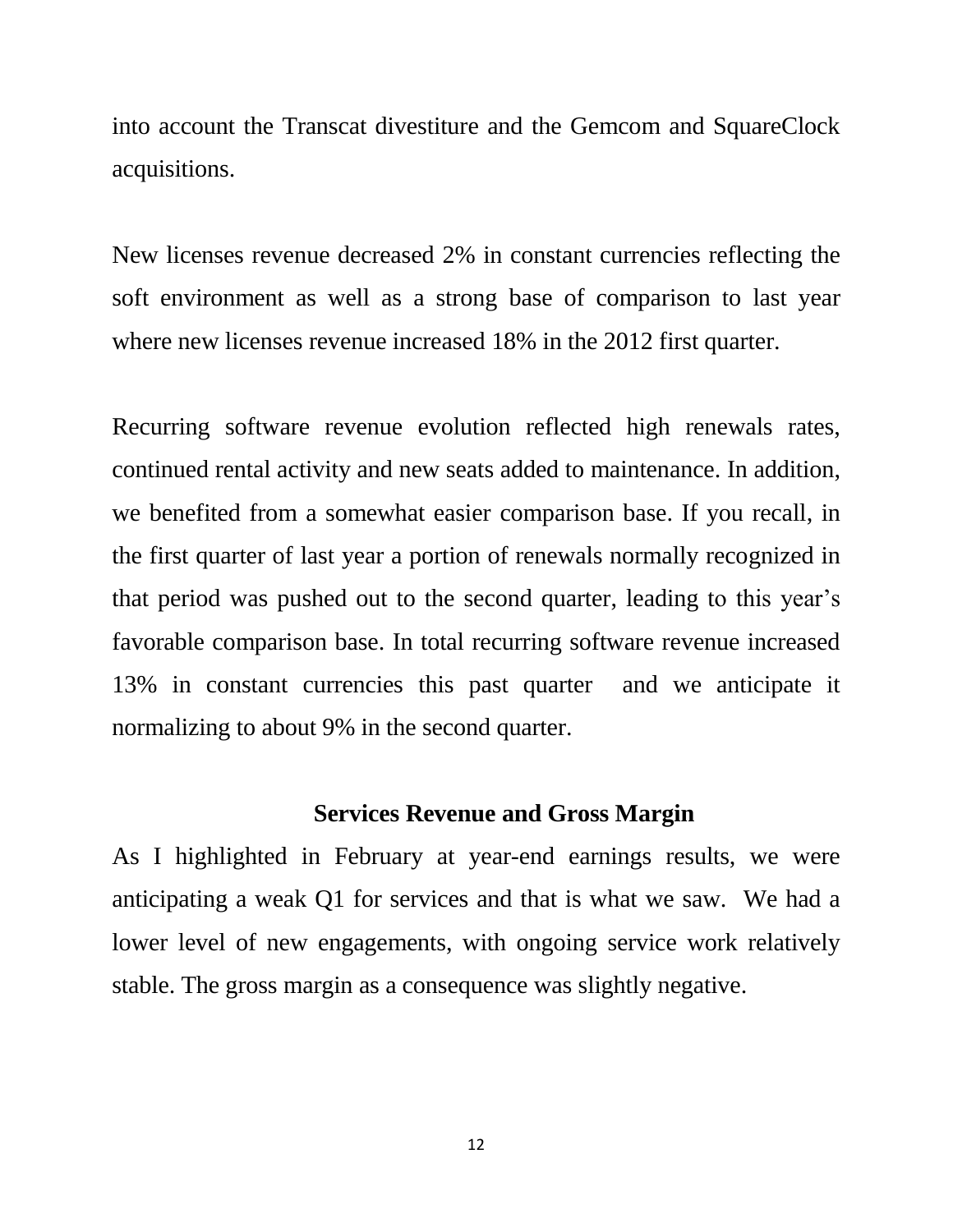into account the Transcat divestiture and the Gemcom and SquareClock acquisitions.

New licenses revenue decreased 2% in constant currencies reflecting the soft environment as well as a strong base of comparison to last year where new licenses revenue increased 18% in the 2012 first quarter.

Recurring software revenue evolution reflected high renewals rates, continued rental activity and new seats added to maintenance. In addition, we benefited from a somewhat easier comparison base. If you recall, in the first quarter of last year a portion of renewals normally recognized in that period was pushed out to the second quarter, leading to this year's favorable comparison base. In total recurring software revenue increased 13% in constant currencies this past quarter and we anticipate it normalizing to about 9% in the second quarter.

### **Services Revenue and Gross Margin**

As I highlighted in February at year-end earnings results, we were anticipating a weak Q1 for services and that is what we saw. We had a lower level of new engagements, with ongoing service work relatively stable. The gross margin as a consequence was slightly negative.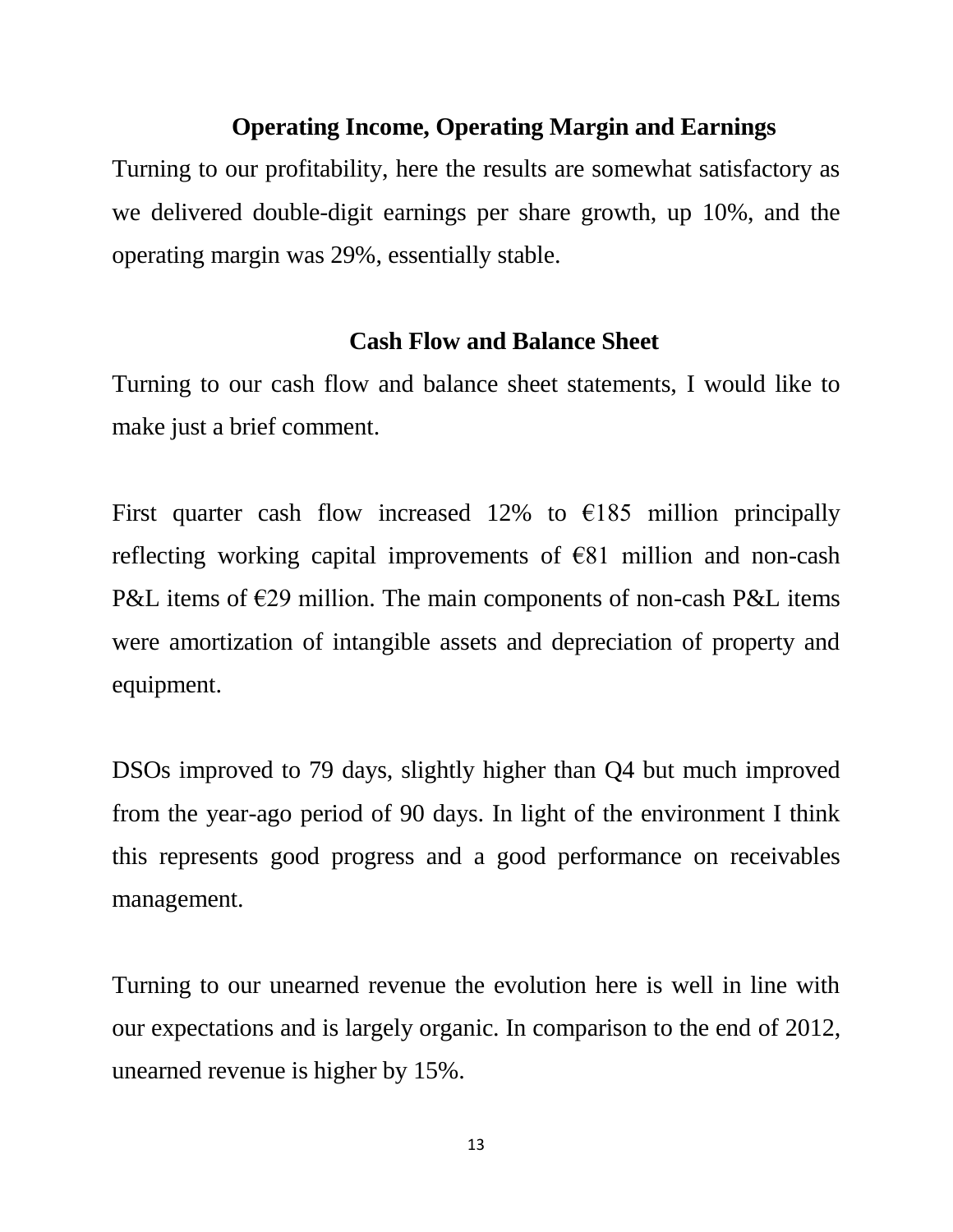### **Operating Income, Operating Margin and Earnings**

Turning to our profitability, here the results are somewhat satisfactory as we delivered double-digit earnings per share growth, up 10%, and the operating margin was 29%, essentially stable.

### **Cash Flow and Balance Sheet**

Turning to our cash flow and balance sheet statements, I would like to make just a brief comment.

First quarter cash flow increased 12% to  $\epsilon$ 185 million principally reflecting working capital improvements of  $E$ 81 million and non-cash P&L items of  $E29$  million. The main components of non-cash P&L items were amortization of intangible assets and depreciation of property and equipment.

DSOs improved to 79 days, slightly higher than Q4 but much improved from the year-ago period of 90 days. In light of the environment I think this represents good progress and a good performance on receivables management.

Turning to our unearned revenue the evolution here is well in line with our expectations and is largely organic. In comparison to the end of 2012, unearned revenue is higher by 15%.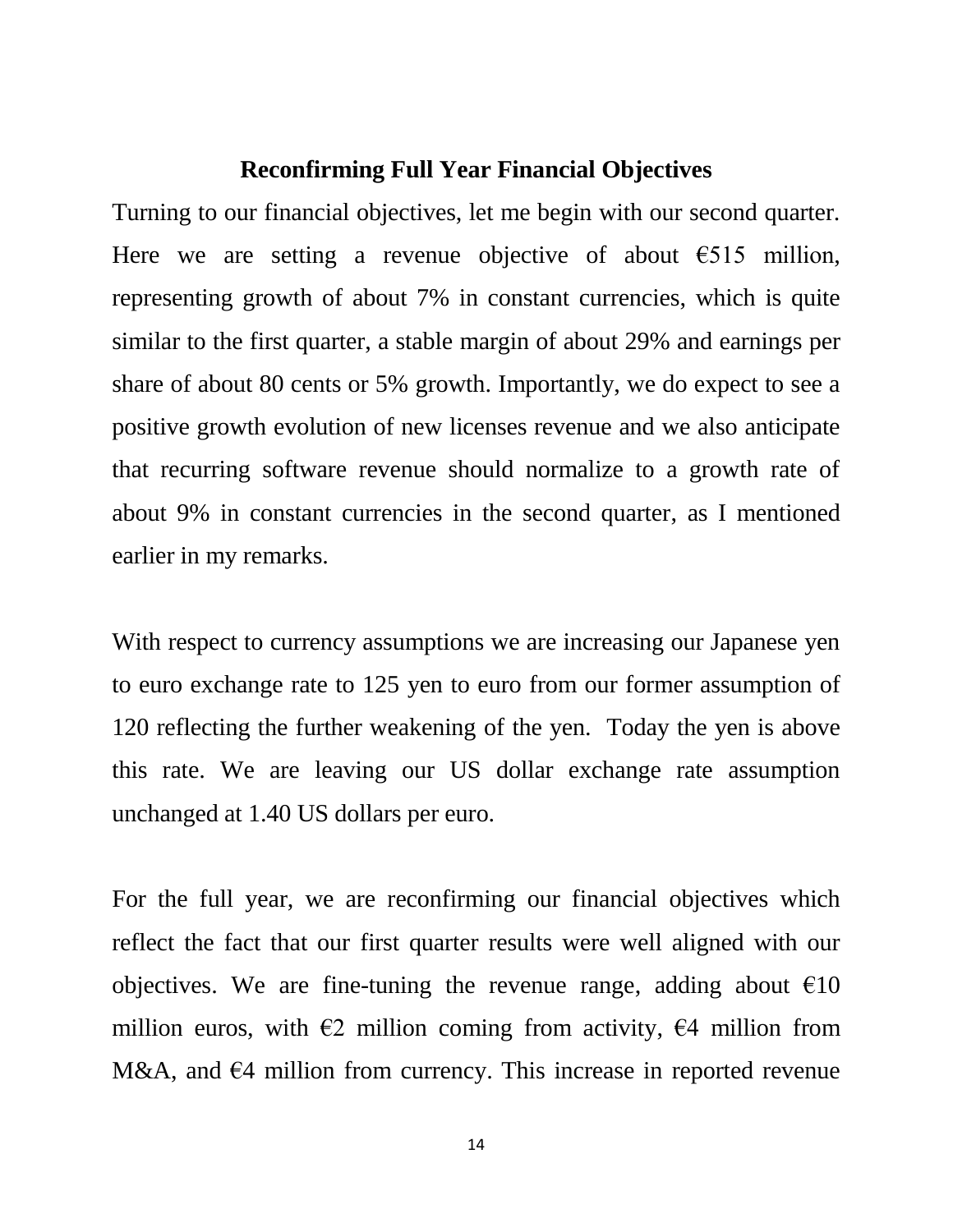#### **Reconfirming Full Year Financial Objectives**

Turning to our financial objectives, let me begin with our second quarter. Here we are setting a revenue objective of about  $\epsilon$ 515 million, representing growth of about 7% in constant currencies, which is quite similar to the first quarter, a stable margin of about 29% and earnings per share of about 80 cents or 5% growth. Importantly, we do expect to see a positive growth evolution of new licenses revenue and we also anticipate that recurring software revenue should normalize to a growth rate of about 9% in constant currencies in the second quarter, as I mentioned earlier in my remarks.

With respect to currency assumptions we are increasing our Japanese yen to euro exchange rate to 125 yen to euro from our former assumption of 120 reflecting the further weakening of the yen. Today the yen is above this rate. We are leaving our US dollar exchange rate assumption unchanged at 1.40 US dollars per euro.

For the full year, we are reconfirming our financial objectives which reflect the fact that our first quarter results were well aligned with our objectives. We are fine-tuning the revenue range, adding about  $\epsilon$ 10 million euros, with  $\epsilon$ 2 million coming from activity,  $\epsilon$ 4 million from M&A, and  $\epsilon$ 4 million from currency. This increase in reported revenue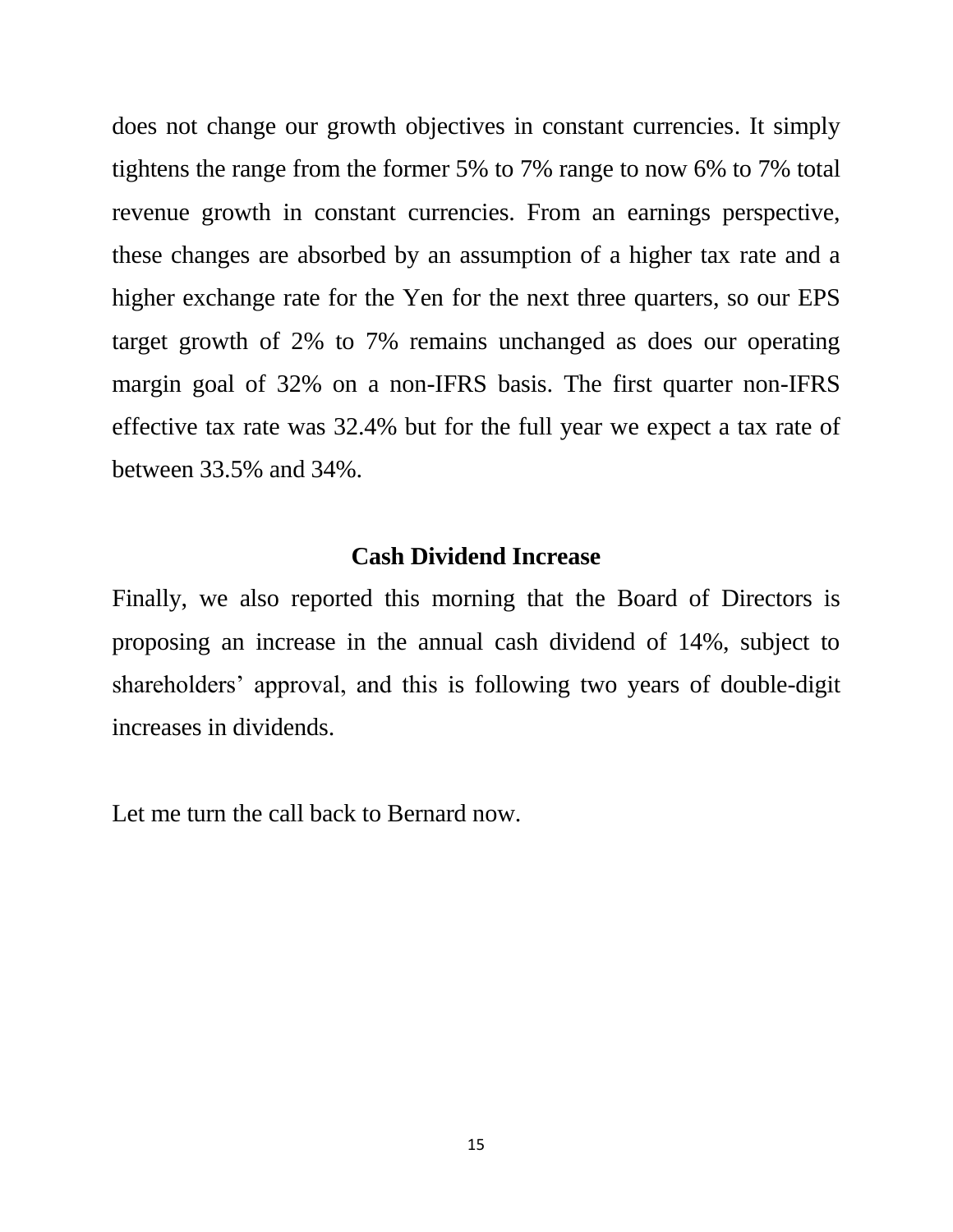does not change our growth objectives in constant currencies. It simply tightens the range from the former 5% to 7% range to now 6% to 7% total revenue growth in constant currencies. From an earnings perspective, these changes are absorbed by an assumption of a higher tax rate and a higher exchange rate for the Yen for the next three quarters, so our EPS target growth of 2% to 7% remains unchanged as does our operating margin goal of 32% on a non-IFRS basis. The first quarter non-IFRS effective tax rate was 32.4% but for the full year we expect a tax rate of between 33.5% and 34%.

#### **Cash Dividend Increase**

Finally, we also reported this morning that the Board of Directors is proposing an increase in the annual cash dividend of 14%, subject to shareholders' approval, and this is following two years of double-digit increases in dividends.

Let me turn the call back to Bernard now.